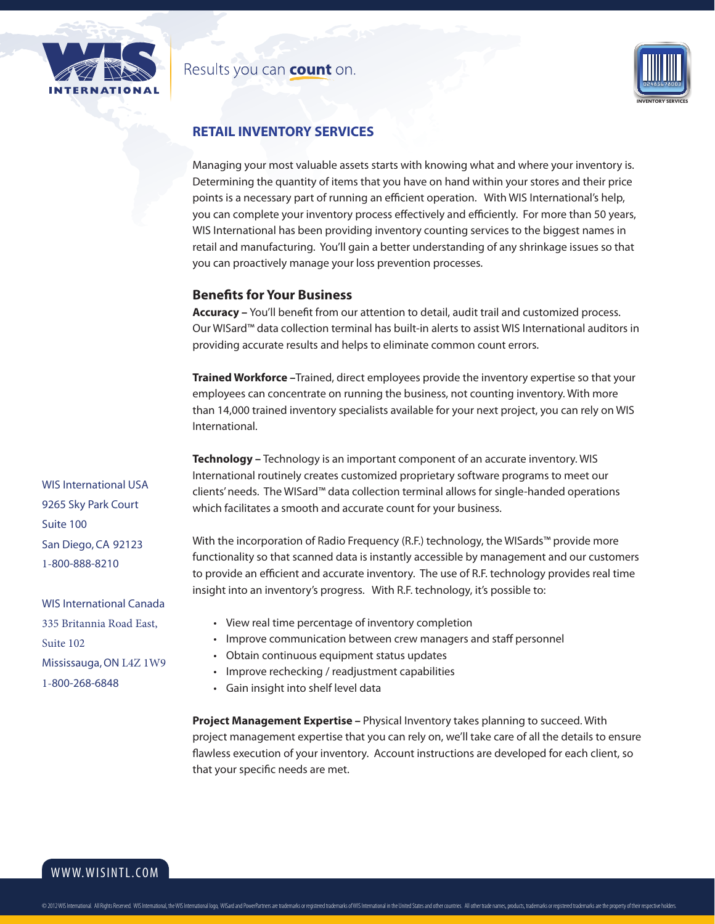

### Results you can **count** on.



## **RETAIL INVENTORY SERVICES**

Managing your most valuable assets starts with knowing what and where your inventory is. Determining the quantity of items that you have on hand within your stores and their price points is a necessary part of running an efficient operation. With WIS International's help, you can complete your inventory process effectively and efficiently. For more than 50 years, WIS International has been providing inventory counting services to the biggest names in retail and manufacturing. You'll gain a better understanding of any shrinkage issues so that you can proactively manage your loss prevention processes.

#### **Benefits for Your Business**

**Accuracy –** You'll benefit from our attention to detail, audit trail and customized process. Our WISard™ data collection terminal has built-in alerts to assist WIS International auditors in providing accurate results and helps to eliminate common count errors.

**Trained Workforce –**Trained, direct employees provide the inventory expertise so that your employees can concentrate on running the business, not counting inventory. With more than 14,000 trained inventory specialists available for your next project, you can rely on WIS International.

**Technology –** Technology is an important component of an accurate inventory. WIS International routinely creates customized proprietary software programs to meet our clients' needs. The WISard™ data collection terminal allows for single-handed operations which facilitates a smooth and accurate count for your business.

With the incorporation of Radio Frequency (R.F.) technology, the WISards™ provide more functionality so that scanned data is instantly accessible by management and our customers to provide an efficient and accurate inventory. The use of R.F. technology provides real time insight into an inventory's progress. With R.F. technology, it's possible to:

- View real time percentage of inventory completion
- Improve communication between crew managers and staff personnel
- Obtain continuous equipment status updates
- Improve rechecking / readjustment capabilities
- Gain insight into shelf level data

**Project Management Expertise –** Physical Inventory takes planning to succeed. With project management expertise that you can rely on, we'll take care of all the details to ensure flawless execution of your inventory. Account instructions are developed for each client, so that your specific needs are met.

WIS International USA 9265 Sky Park Court Suite 100 San Diego, CA 92123 1-800-888-8210

WIS International Canada 335 Britannia Road East, Suite 102 Mississauga, ON L4Z 1W9 1-800-268-6848

www.wisintl.com